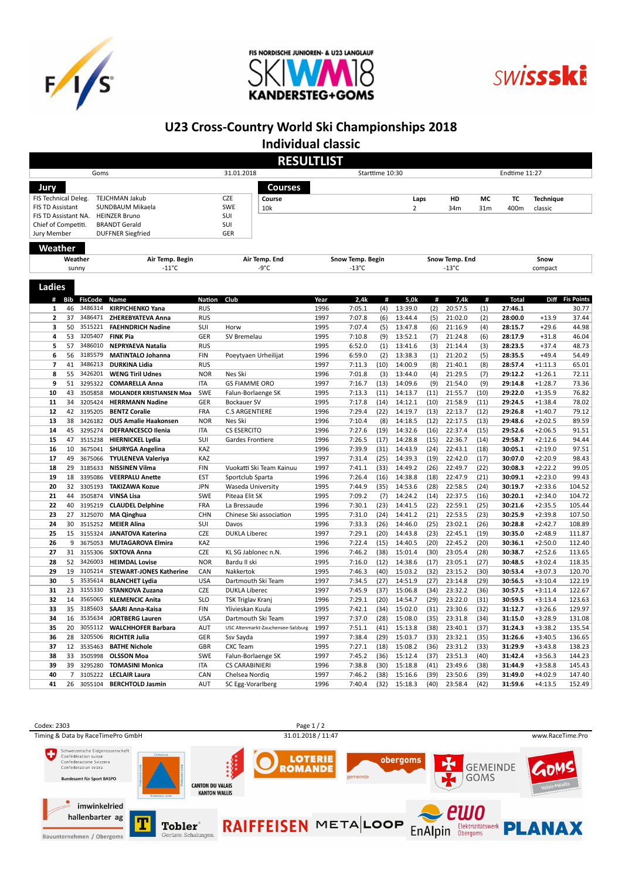





## U23 Cross-Country World Ski Championships 2018

Individual classic

| <b>RESULTLIST</b>                           |                            |                    |                                                   |                               |                                                          |                  |                  |              |                    |              |                    |              |                    |                        |                   |  |
|---------------------------------------------|----------------------------|--------------------|---------------------------------------------------|-------------------------------|----------------------------------------------------------|------------------|------------------|--------------|--------------------|--------------|--------------------|--------------|--------------------|------------------------|-------------------|--|
| Goms                                        |                            |                    |                                                   | 31.01.2018<br>Starttime 10:30 |                                                          |                  |                  |              |                    |              | Endtime 11:27      |              |                    |                        |                   |  |
| Jury                                        |                            |                    |                                                   |                               | <b>Courses</b>                                           |                  |                  |              |                    |              |                    |              |                    |                        |                   |  |
| FIS Technical Deleg.                        |                            |                    | TEJCHMAN Jakub                                    |                               | <b>CZE</b><br>Course                                     |                  |                  |              | Laps               |              | HD                 | МC           | TC                 | <b>Technique</b>       |                   |  |
| <b>FIS TD Assistant</b><br>SUNDBAUM Mikaela |                            |                    |                                                   | <b>SWE</b><br>10k             |                                                          |                  |                  | 2            |                    | 34m          | 31 <sub>m</sub>    | 400m         | classic            |                        |                   |  |
| FIS TD Assistant NA.                        |                            |                    | <b>HEINZER Bruno</b>                              |                               | SUI                                                      |                  |                  |              |                    |              |                    |              |                    |                        |                   |  |
| <b>BRANDT Gerald</b><br>Chief of Competiti. |                            |                    |                                                   | SUI                           |                                                          |                  |                  |              |                    |              |                    |              |                    |                        |                   |  |
| Jury Member                                 |                            |                    | <b>DUFFNER Siegfried</b>                          |                               | GER                                                      |                  |                  |              |                    |              |                    |              |                    |                        |                   |  |
| Weather                                     |                            |                    |                                                   |                               |                                                          |                  |                  |              |                    |              |                    |              |                    |                        |                   |  |
|                                             | Weather<br>Air Temp. Begin |                    |                                                   |                               | Air Temp. End                                            | Snow Temp. Begin |                  |              |                    |              | Snow Temp. End     |              | Snow               |                        |                   |  |
| $-11^{\circ}$ C<br>sunny                    |                            |                    |                                                   |                               | -9°C<br>$-13^{\circ}$ C                                  |                  |                  |              | $-13^{\circ}$ C    | compact      |                    |              |                    |                        |                   |  |
|                                             |                            |                    |                                                   |                               |                                                          |                  |                  |              |                    |              |                    |              |                    |                        |                   |  |
| <b>Ladies</b>                               |                            |                    |                                                   |                               |                                                          |                  |                  |              |                    |              |                    |              |                    |                        |                   |  |
| #                                           | <b>Bib</b>                 | <b>FisCode</b>     | Name                                              | Nation                        | Club                                                     | Year             | 2,4k             | #            | 5,0k               | #            | 7,4k               | #            | <b>Total</b>       | Diff                   | <b>Fis Points</b> |  |
| 1<br>$\overline{\mathbf{c}}$                | 46                         | 3486314            | <b>KIRPICHENKO Yana</b>                           | <b>RUS</b>                    |                                                          | 1996             | 7:05.1           | (4)          | 13:39.0            | (2)          | 20:57.5            | (1)          | 27:46.1            |                        | 30.77             |  |
| 3                                           | 37<br>50                   | 3486471<br>3515221 | ZHEREBYATEVA Anna<br><b>FAEHNDRICH Nadine</b>     | <b>RUS</b><br>SUI             | Horw                                                     | 1997<br>1995     | 7:07.8<br>7:07.4 | (6)<br>(5)   | 13:44.4<br>13:47.8 | (5)<br>(6)   | 21:02.0<br>21:16.9 | (2)<br>(4)   | 28:00.0<br>28:15.7 | $+13.9$<br>$+29.6$     | 37.44<br>44.98    |  |
| 4                                           | 53                         | 3205407            | <b>FINK Pia</b>                                   | GER                           | SV Bremelau                                              | 1995             | 7:10.8           | (9)          | 13:52.1            | (7)          | 21:24.8            | (6)          | 28:17.9            | $+31.8$                | 46.04             |  |
| 5                                           | 57                         | 3486010            | <b>NEPRYAEVA Natalia</b>                          | <b>RUS</b>                    |                                                          | 1995             | 6:52.0           | (1)          | 13:41.6            | (3)          | 21:14.4            | (3)          | 28:23.5            | $+37.4$                | 48.73             |  |
| 6                                           | 56                         | 3185579            | <b>MATINTALO Johanna</b>                          | <b>FIN</b>                    | Poeytyaen Urheilijat                                     | 1996             | 6:59.0           | (2)          | 13:38.3            | (1)          | 21:20.2            | (5)          | 28:35.5            | $+49.4$                | 54.49             |  |
| $\overline{7}$                              | 41                         | 3486213            | <b>DURKINA Lidia</b>                              | <b>RUS</b>                    |                                                          | 1997             | 7:11.3           | (10)         | 14:00.9            | (8)          | 21:40.1            | (8)          | 28:57.4            | $+1:11.3$              | 65.01             |  |
| 8                                           | 55                         | 3426201            | <b>WENG Tiril Udnes</b>                           | <b>NOR</b>                    | Nes Ski                                                  | 1996             | 7:01.8           | (3)          | 13:44.0            | (4)          | 21:29.5            | (7)          | 29:12.2            | $+1:26.1$              | 72.11             |  |
| 9                                           | 51                         | 3295322            | <b>COMARELLA Anna</b>                             | <b>ITA</b>                    | <b>GS FIAMME ORO</b>                                     | 1997             | 7:16.7           | (13)         | 14:09.6            | (9)          | 21:54.0            | (9)          | 29:14.8            | $+1:28.7$              | 73.36             |  |
| 10                                          | 43                         | 3505858            | <b>MOLANDER KRISTIANSEN Moa</b>                   | SWE                           | Falun-Borlaenge SK                                       | 1995             | 7:13.3           | (11)         | 14:13.7            | (11)         | 21:55.7            | (10)         | 29:22.0            | +1:35.9                | 76.82             |  |
| 11                                          | 34                         | 3205424            | <b>HERRMANN Nadine</b>                            | GER                           | <b>Bockauer SV</b>                                       | 1995             | 7:17.8           | (14)         | 14:12.1            | (10)         | 21:58.9            | (11)         | 29:24.5            | $+1:38.4$              | 78.02             |  |
| 12                                          | 42                         | 3195205            | <b>BENTZ Coralie</b>                              | <b>FRA</b>                    | <b>C.S ARGENTIERE</b>                                    | 1996             | 7:29.4           | (22)         | 14:19.7            | (13)         | 22:13.7            | (12)         | 29:26.8            | $+1:40.7$              | 79.12             |  |
| 13                                          | 38                         | 3426182            | <b>OUS Amalie Haakonsen</b>                       | <b>NOR</b>                    | Nes Ski                                                  | 1996             | 7:10.4           | (8)          | 14:18.5            | (12)         | 22:17.5            | (13)         | 29:48.6            | $+2:02.5$              | 89.59             |  |
| 14                                          | 45                         | 3295274            | <b>DEFRANCESCO Ilenia</b>                         | <b>ITA</b>                    | <b>CS ESERCITO</b>                                       | 1996             | 7:27.6           | (19)         | 14:32.6            | (16)         | 22:37.4            | (15)         | 29:52.6            | $+2:06.5$              | 91.51             |  |
| 15                                          | 47                         | 3515238            | <b>HIERNICKEL Lydia</b>                           | SUI                           | Gardes Frontiere                                         | 1996             | 7:26.5           | (17)         | 14:28.8            | (15)         | 22:36.7            | (14)         | 29:58.7            | $+2:12.6$              | 94.44             |  |
| 16                                          | 10                         | 3675041            | <b>SHURYGA Angelina</b>                           | KAZ                           |                                                          | 1996             | 7:39.9           | (31)         | 14:43.9            | (24)         | 22:43.1            | (18)         | 30:05.1            | $+2:19.0$              | 97.51             |  |
| 17                                          | 49                         | 3675066            | <b>TYULENEVA Valeriya</b>                         | KAZ                           |                                                          | 1997             | 7:31.4           | (25)         | 14:39.3            | (19)         | 22:42.0            | (17)         | 30:07.0            | $+2:20.9$              | 98.43             |  |
| 18<br>19                                    | 29<br>18                   | 3185633<br>3395086 | <b>NISSINEN Vilma</b><br><b>VEERPALU Anette</b>   | <b>FIN</b><br><b>EST</b>      | Vuokatti Ski Team Kainuu<br>Sportclub Sparta             | 1997<br>1996     | 7:41.1<br>7:26.4 | (33)<br>(16) | 14:49.2<br>14:38.8 | (26)<br>(18) | 22:49.7<br>22:47.9 | (22)<br>(21) | 30:08.3<br>30:09.1 | $+2:22.2$<br>$+2:23.0$ | 99.05<br>99.43    |  |
| 20                                          | 32                         | 3305193            | <b>TAKIZAWA Kozue</b>                             | <b>JPN</b>                    | Waseda University                                        | 1995             | 7:44.9           | (35)         | 14:53.6            | (28)         | 22:58.5            | (24)         | 30:19.7            | $+2:33.6$              | 104.52            |  |
| 21                                          | 44                         | 3505874            | <b>VINSA Lisa</b>                                 | SWE                           | Piteaa Elit SK                                           | 1995             | 7:09.2           | (7)          | 14:24.2            | (14)         | 22:37.5            | (16)         | 30:20.1            | $+2:34.0$              | 104.72            |  |
| 22                                          | 40                         | 3195219            | <b>CLAUDEL Delphine</b>                           | <b>FRA</b>                    | La Bressaude                                             | 1996             | 7:30.1           | (23)         | 14:41.5            | (22)         | 22:59.1            | (25)         | 30:21.6            | $+2:35.5$              | 105.44            |  |
| 23                                          | 27                         | 3125070            | <b>MA Qinghua</b>                                 | <b>CHN</b>                    | Chinese Ski association                                  | 1995             | 7:31.0           | (24)         | 14:41.2            | (21)         | 22:53.5            | (23)         | 30:25.9            | $+2:39.8$              | 107.50            |  |
| 24                                          | 30                         | 3515252            | <b>MEIER Alina</b>                                | SUI                           | Davos                                                    | 1996             | 7:33.3           | (26)         | 14:46.0            | (25)         | 23:02.1            | (26)         | 30:28.8            | $+2:42.7$              | 108.89            |  |
| 25                                          | 15                         | 3155324            | <b>JANATOVA Katerina</b>                          | <b>CZE</b>                    | <b>DUKLA Liberec</b>                                     | 1997             | 7:29.1           | (20)         | 14:43.8            | (23)         | 22:45.1            | (19)         | 30:35.0            | $+2:48.9$              | 111.87            |  |
| 26                                          | 9                          | 3675053            | <b>MUTAGAROVA Elmira</b>                          | KAZ                           |                                                          | 1996             | 7:22.4           | (15)         | 14:40.5            | (20)         | 22:45.2            | (20)         | 30:36.1            | $+2:50.0$              | 112.40            |  |
| 27                                          | 31                         | 3155306            | <b>SIXTOVA Anna</b>                               | <b>CZE</b>                    | KL SG Jablonec n.N.                                      | 1996             | 7:46.2           | (38)         | 15:01.4            | (30)         | 23:05.4            | (28)         | 30:38.7            | $+2:52.6$              | 113.65            |  |
| 28                                          | 52                         | 3426003            | <b>HEIMDAL Lovise</b>                             | <b>NOR</b>                    | Bardu Il ski                                             | 1995             | 7:16.0           | (12)         | 14:38.6            | (17)         | 23:05.1            | (27)         | 30:48.5            | $+3:02.4$              | 118.35            |  |
| 29                                          | 19                         | 3105214            | <b>STEWART-JONES Katherine</b>                    | CAN                           | Nakkertok                                                | 1995             | 7:46.3           | (40)         | 15:03.2            | (32)         | 23:15.2            | (30)         | 30:53.4            | $+3:07.3$              | 120.70            |  |
| 30                                          | 5                          | 3535614            | <b>BLANCHET Lydia</b>                             | <b>USA</b>                    | Dartmouth Ski Team                                       | 1997             | 7:34.5           | (27)         | 14:51.9            | (27)         | 23:14.8            | (29)         | 30:56.5            | $+3:10.4$              | 122.19            |  |
| 31                                          | 23                         | 3155330            | STANKOVA Zuzana                                   | <b>CZE</b>                    | <b>DUKLA Liberec</b>                                     | 1997             | 7:45.9           | (37)         | 15:06.8            | (34)         | 23:32.2            | (36)         | 30:57.5            | $+3:11.4$              | 122.67            |  |
| 32                                          | 14                         | 3565065            | <b>KLEMENCIC Anita</b>                            | <b>SLO</b>                    | <b>TSK Triglav Kranj</b>                                 | 1996             | 7:29.1           | (20)         | 14:54.7            | (29)         | 23:22.0            | (31)         | 30:59.5            | $+3:13.4$              | 123.63            |  |
| 33                                          | 35                         | 3185603            | <b>SAARI Anna-Kaisa</b>                           | <b>FIN</b>                    | Ylivieskan Kuula                                         | 1995             | 7:42.1           | (34)         | 15:02.0            | (31)         | 23:30.6            | (32)         | 31:12.7            | $+3:26.6$              | 129.97            |  |
| 34<br>35                                    | 16<br>20                   | 3535634            | <b>JORTBERG Lauren</b>                            | <b>USA</b>                    | Dartmouth Ski Team<br>USC Altenmarkt-Zauchensee-Salzburg | 1997             | 7:37.0           | (28)         | 15:08.0<br>15:13.8 | (35)         | 23:31.8<br>23:40.1 | (34)         | 31:15.0            | $+3:28.9$              | 131.08            |  |
| 36                                          | 28                         | 3055112<br>3205506 | <b>WALCHHOFER Barbara</b><br><b>RICHTER Julia</b> | <b>AUT</b><br>GER             | Ssv Sayda                                                | 1997<br>1997     | 7:51.1<br>7:38.4 | (41)<br>(29) | 15:03.7            | (38)<br>(33) | 23:32.1            | (37)<br>(35) | 31:24.3<br>31:26.6 | $+3:38.2$<br>$+3:40.5$ | 135.54<br>136.65  |  |
| 37                                          | 12                         | 3535463            | <b>BATHE Nichole</b>                              | GBR                           | <b>CXC Team</b>                                          | 1995             | 7:27.1           | (18)         | 15:08.2            | (36)         | 23:31.2            | (33)         | 31:29.9            | $+3:43.8$              | 138.23            |  |
| 38                                          | 33                         | 3505998            | <b>OLSSON Moa</b>                                 | SWE                           | Falun-Borlaenge SK                                       | 1997             | 7:45.2           | (36)         | 15:12.4            | (37)         | 23:51.3            | (40)         | 31:42.4            | $+3:56.3$              | 144.23            |  |
| 39                                          | 39                         | 3295280            | <b>TOMASINI Monica</b>                            | <b>ITA</b>                    | <b>CS CARABINIERI</b>                                    | 1996             | 7:38.8           | (30)         | 15:18.8            | (41)         | 23:49.6            | (38)         | 31:44.9            | $+3:58.8$              | 145.43            |  |
| 40                                          | $\overline{7}$             | 3105222            | <b>LECLAIR Laura</b>                              | CAN                           | Chelsea Nordig                                           | 1997             | 7:46.2           | (38)         | 15:16.6            | (39)         | 23:50.6            | (39)         | 31:49.0            | $+4:02.9$              | 147.40            |  |
| 41                                          | 26                         | 3055104            | <b>BERCHTOLD Jasmin</b>                           | AUT                           | SC Egg-Vorarlberg                                        | 1996             | 7:40.4           | (32)         | 15:18.3            | (40)         | 23:58.4            | (42)         | 31:59.6            | $+4:13.5$              | 152.49            |  |